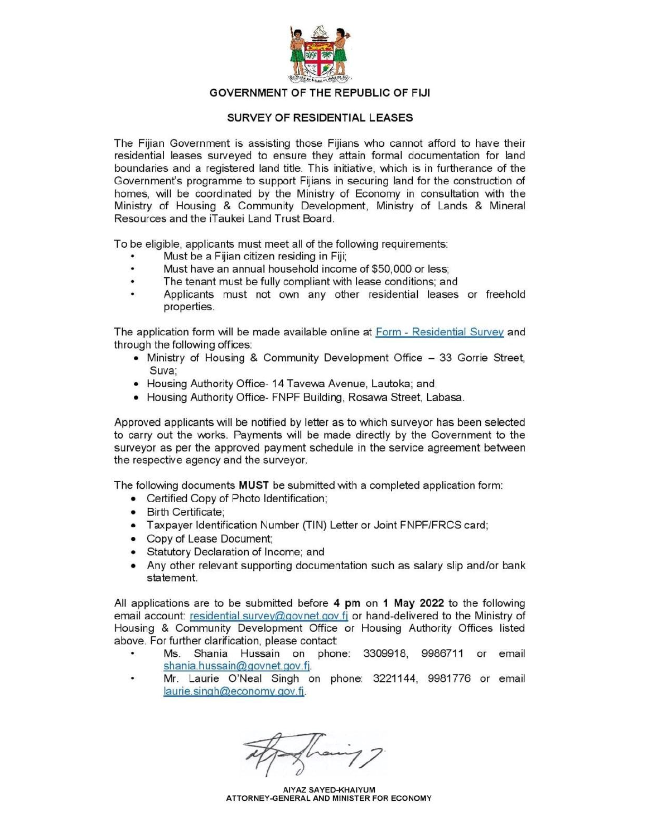

#### GOVERNMENT OF THE REPUBLIC OF FIJI

#### SURVEY OF RESIDENTIAL LEASES

The Fijian Government is assisting those Fijians who cannot afford to have their residential leases surveyed to ensure they attain formal documentation for land boundaries and a registered land title. This initiative, which is in furtherance of the Government's programme to support Fijians in securing land for the construction of homes, will be coordinated by the Ministry of Economy in consultation with the Ministry of Housing & Community Development, Ministry of Lands & Mineral Resources and the iTaukei Land Trust Board.

To be eligible, applicants must meet all of the following requirements:

- Must be a Fijian citizen residing in Fiji;
- Must have an annual household income of \$50,000 or less: .
- The tenant must be fully compliant with lease conditions; and  $\bullet$
- Applicants must not own any other residential leases or freehold  $\bullet$ properties.

The application form will be made available online at Form - Residential Survey and through the following offices:

- Ministry of Housing & Community Development Office 33 Gorrie Street, Suva:
- Housing Authority Office- 14 Tavewa Avenue, Lautoka; and
- Housing Authority Office- FNPF Building, Rosawa Street, Labasa.

Approved applicants will be notified by letter as to which surveyor has been selected to carry out the works. Payments will be made directly by the Government to the surveyor as per the approved payment schedule in the service agreement between the respective agency and the surveyor.

The following documents **MUST** be submitted with a completed application form:

- Certified Copy of Photo Identification;
- Birth Certificate;
- Taxpayer Identification Number (TIN) Letter or Joint FNPF/FRCS card;
- Copy of Lease Document;
- Statutory Declaration of Income; and
- Any other relevant supporting documentation such as salary slip and/or bank statement.

All applications are to be submitted before 4 pm on 1 May 2022 to the following email account: residential.survey@govnet.gov.fj or hand-delivered to the Ministry of Housing & Community Development Office or Housing Authority Offices listed above. For further clarification, please contact:

- Ms. Shania Hussain on phone: 3309918, 9986711 or email shania.hussain@govnet.gov.fj.
- Mr. Laurie O'Neal Singh on phone: 3221144, 9981776 or email laurie.singh@economy.gov.fj.

AIYAZ SAYED-KHAIYUM ATTORNEY-GENERAL AND MINISTER FOR ECONOMY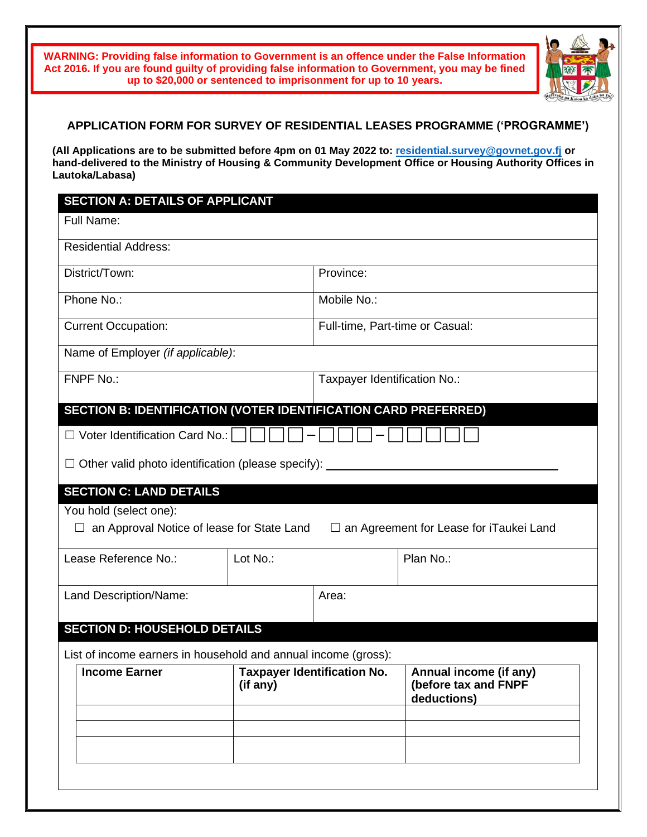**WARNING: Providing false information to Government is an offence under the False Information Act 2016. If you are found guilty of providing false information to Government, you may be fined up to \$20,000 or sentenced to imprisonment for up to 10 years.**



#### **APPLICATION FORM FOR SURVEY OF RESIDENTIAL LEASES PROGRAMME ('PROGRAMME')**

**(All Applications are to be submitted before 4pm on 01 May 2022 to: [residential.survey@govnet.gov.fj](mailto:residential.survey@govnet.gov.fj) or hand-delivered to the Ministry of Housing & Community Development Office or Housing Authority Offices in Lautoka/Labasa)**

# **SECTION A: DETAILS OF APPLICANT** Full Name: Residential Address: District/Town: Province: Phone No.: Mobile No.: Mobile No.: Current Occupation: The Superson of Full-time, Part-time or Casual: Name of Employer *(if applicable)*: FNPF No.: Taxpayer Identification No.: **SECTION B: IDENTIFICATION (VOTER IDENTIFICATION CARD PREFERRED)**  $\Box$  Voter Identification Card No.:  $\Box$  || || ||  $\Box$  Other valid photo identification (please specify): **SECTION C: LAND DETAILS** You hold (select one):  $□$  an Approval Notice of lease for State Land  $□$  an Agreement for Lease for iTaukei Land Lease Reference No.:  $\vert$  Lot No.:  $\vert$  Plan No.: Land Description/Name:  $\vert$  Area: **SECTION D: HOUSEHOLD DETAILS** List of income earners in household and annual income (gross): **Income Earner Taxpayer Identification No. (if any) Annual income (if any) (before tax and FNPF deductions)**